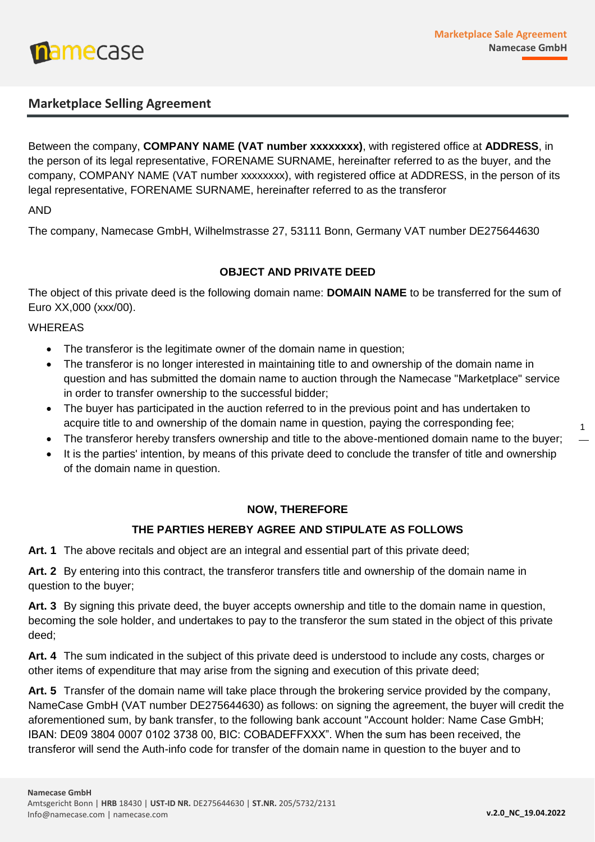

# **Marketplace Selling Agreement**

Between the company, **COMPANY NAME (VAT number xxxxxxxx)**, with registered office at **ADDRESS**, in the person of its legal representative, FORENAME SURNAME, hereinafter referred to as the buyer, and the company, COMPANY NAME (VAT number xxxxxxxx), with registered office at ADDRESS, in the person of its legal representative, FORENAME SURNAME, hereinafter referred to as the transferor

# AND

The company, Namecase GmbH, Wilhelmstrasse 27, 53111 Bonn, Germany VAT number DE275644630

# **OBJECT AND PRIVATE DEED**

The object of this private deed is the following domain name: **DOMAIN NAME** to be transferred for the sum of Euro XX,000 (xxx/00).

#### WHEREAS

- The transferor is the legitimate owner of the domain name in question;
- The transferor is no longer interested in maintaining title to and ownership of the domain name in question and has submitted the domain name to auction through the Namecase "Marketplace" service in order to transfer ownership to the successful bidder;
- The buyer has participated in the auction referred to in the previous point and has undertaken to acquire title to and ownership of the domain name in question, paying the corresponding fee;
- The transferor hereby transfers ownership and title to the above-mentioned domain name to the buyer;
- It is the parties' intention, by means of this private deed to conclude the transfer of title and ownership of the domain name in question.

# **NOW, THEREFORE**

# **THE PARTIES HEREBY AGREE AND STIPULATE AS FOLLOWS**

**Art. 1** The above recitals and object are an integral and essential part of this private deed;

**Art. 2** By entering into this contract, the transferor transfers title and ownership of the domain name in question to the buyer;

**Art. 3** By signing this private deed, the buyer accepts ownership and title to the domain name in question, becoming the sole holder, and undertakes to pay to the transferor the sum stated in the object of this private deed;

**Art. 4** The sum indicated in the subject of this private deed is understood to include any costs, charges or other items of expenditure that may arise from the signing and execution of this private deed;

**Art. 5** Transfer of the domain name will take place through the brokering service provided by the company, NameCase GmbH (VAT number DE275644630) as follows: on signing the agreement, the buyer will credit the aforementioned sum, by bank transfer, to the following bank account "Account holder: Name Case GmbH; IBAN: DE09 3804 0007 0102 3738 00, BIC: COBADEFFXXX". When the sum has been received, the transferor will send the Auth-info code for transfer of the domain name in question to the buyer and to

1